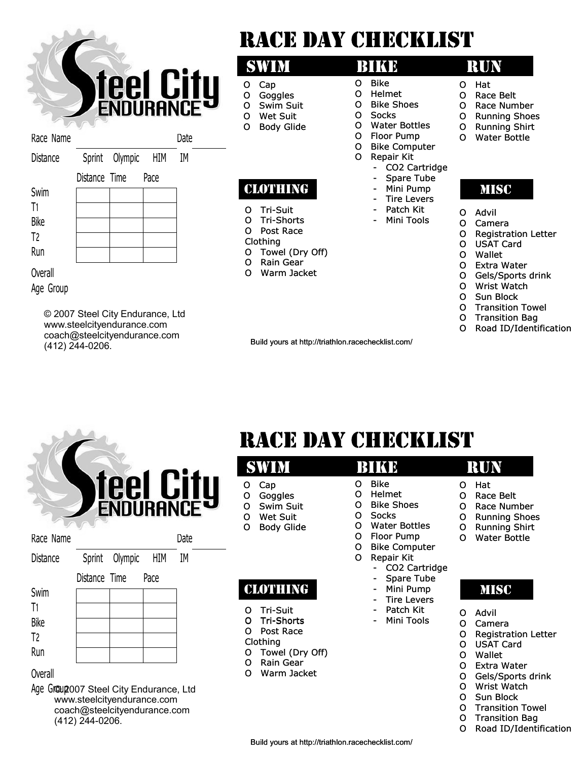

© 2007 Steel City Endurance, Ltd [www.steelcityendurance.com](http://www.steelcityendurance.com/) [coach@steelcityendurance.com](mailto:coach@steelcityendurance.com) (412) 244-0206.

- 
- 
- 
- -

- 
- О Registration Letter Registration
- 
- 
- 
- О Sun Block
- О Transition Towel
- О Transition Bag
- О Road ID/Identification

|  | <b>Teel City</b> |
|--|------------------|
|  |                  |

|  |  | RACE DAY CHECKLIST |  |  |  |  |  |
|--|--|--------------------|--|--|--|--|--|
|--|--|--------------------|--|--|--|--|--|

|                |               |         |      |                    |                       | <b>SWIM</b>                                                  |                       | <b>BIKE</b>                                                                        |                       | <b>RUN</b>                                      |
|----------------|---------------|---------|------|--------------------|-----------------------|--------------------------------------------------------------|-----------------------|------------------------------------------------------------------------------------|-----------------------|-------------------------------------------------|
|                |               |         |      | <b>ENDURANCE D</b> | o<br>o<br>O<br>O<br>0 | Cap<br>Goggles<br>Swim Suit<br>Wet Suit<br><b>Body Glide</b> | O<br>0<br>O<br>O<br>O | <b>Bike</b><br>Helmet<br><b>Bike Shoes</b><br><b>Socks</b><br><b>Water Bottles</b> | O<br>O<br>O<br>O<br>O | Hat<br>Race Be<br>Race Nu<br>Running<br>Running |
| Race Name      |               |         |      | Date               |                       |                                                              | O<br>O                | Floor Pump<br><b>Bike Computer</b>                                                 | O                     | Water B                                         |
| Distance       | Sprint        | Olympic | HIM  | IM                 |                       |                                                              | O                     | Repair Kit                                                                         |                       |                                                 |
|                | Distance Time |         | Pace |                    |                       |                                                              |                       | CO2 Cartridge<br>Spare Tube<br>-                                                   |                       |                                                 |
| Swim           |               |         |      |                    |                       | CLOTHING                                                     |                       | Mini Pump<br>۰<br><b>Tire Levers</b><br>٠                                          |                       | <b>MISC</b>                                     |
| T <sub>1</sub> |               |         |      |                    | O                     | <b>Tri-Suit</b>                                              |                       | Patch Kit                                                                          | O                     | Advil                                           |
| <b>Bike</b>    |               |         |      |                    | O                     | <b>Tri-Shorts</b>                                            |                       | Mini Tools<br>$\overline{\phantom{a}}$                                             | O                     | Camera                                          |
| T <sub>2</sub> |               |         |      |                    | O                     | Post Race                                                    |                       |                                                                                    | O                     | Registra                                        |
| Run            |               |         |      |                    |                       | Clothing                                                     |                       |                                                                                    |                       | <b>USAT Ca</b>                                  |
|                |               |         |      |                    | O<br>O                | Towel (Dry Off)<br>Rain Gear                                 |                       |                                                                                    | O                     | Wallet                                          |
| Overall        |               |         |      |                    | O                     | Warm Jacket                                                  |                       |                                                                                    |                       | Extra Wa                                        |
| $\sim$         |               |         |      |                    |                       |                                                              |                       |                                                                                    |                       | Gels/Sp<br>.                                    |

### Overall

Age Gr@up2007 Steel City Endurance, Ltd [www.steelcityendurance.com](http://www.steelcityendurance.com/) [coach@steelcityendurance.com](mailto:coach@steelcityendurance.com) (412) 244-0206.

### Build yours at http://triathlon.racechecklist.com/

- 
- $\mathbf{a}$
- О Race Belt Belt
- ace Number
- Jnning Shoes
- Jnning Shirt
- ater Bottle
	-
- livt
- amera
- egistration Letter
- SAT Card
- allet
- ctra Water
- els/Sports drink О Wrist Watch
- 
- О Sun Block
- О Transition Towel О Transition Bag
- О Road ID/Identification